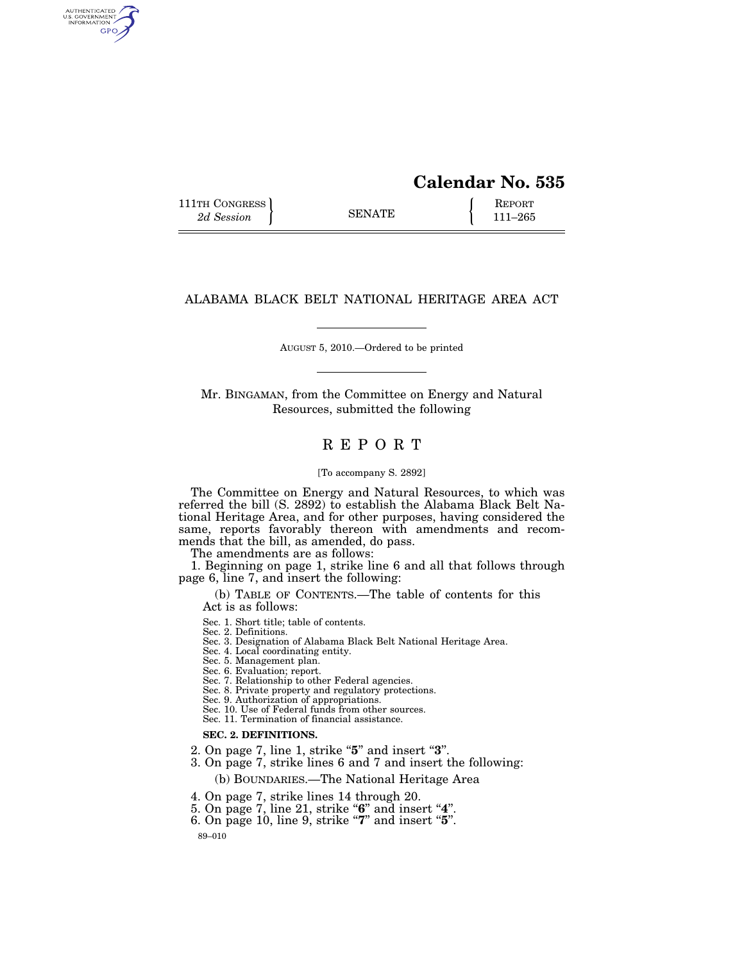# **Calendar No. 535**

111TH CONGRESS **REPORT** 2d Session **111 EXECUTE 111–265** 

AUTHENTICATED<br>U.S. GOVERNMENT<br>INFORMATION **GPO** 

# ALABAMA BLACK BELT NATIONAL HERITAGE AREA ACT

AUGUST 5, 2010.—Ordered to be printed

Mr. BINGAMAN, from the Committee on Energy and Natural Resources, submitted the following

# R E P O R T

# [To accompany S. 2892]

The Committee on Energy and Natural Resources, to which was referred the bill (S. 2892) to establish the Alabama Black Belt National Heritage Area, and for other purposes, having considered the same, reports favorably thereon with amendments and recommends that the bill, as amended, do pass.

The amendments are as follows:

1. Beginning on page 1, strike line 6 and all that follows through page 6, line 7, and insert the following:

(b) TABLE OF CONTENTS.—The table of contents for this Act is as follows:

Sec. 1. Short title; table of contents.

Sec. 2. Definitions.

Sec. 3. Designation of Alabama Black Belt National Heritage Area.

Sec. 4. Local coordinating entity.

Sec. 5. Management plan.

Sec. 6. Evaluation; report.

Sec. 7. Relationship to other Federal agencies.

Sec. 8. Private property and regulatory protections.

Sec. 9. Authorization of appropriations. Sec. 10. Use of Federal funds from other sources.

Sec. 11. Termination of financial assistance.

### **SEC. 2. DEFINITIONS.**

- 2. On page 7, line 1, strike ''**5**'' and insert ''**3**''.
- 3. On page 7, strike lines 6 and 7 and insert the following:

(b) BOUNDARIES.—The National Heritage Area

4. On page 7, strike lines 14 through 20.

- 5. On page 7, line 21, strike "6" and insert "4".
- 6. On page 10, line 9, strike ''**7**'' and insert ''**5**''.

89–010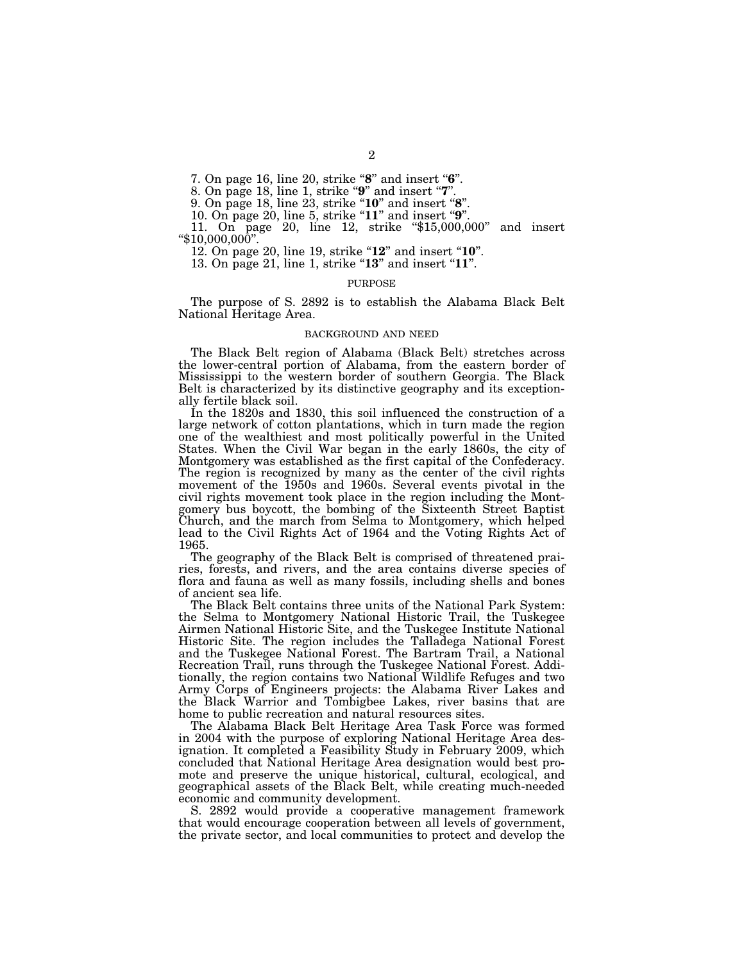7. On page 16, line 20, strike "8" and insert "6".

8. On page 18, line 1, strike ''**9**'' and insert ''**7**''.

9. On page 18, line 23, strike ''**10**'' and insert ''**8**''.

10. On page 20, line 5, strike "**11**" and insert "**9**".

11. On page 20, line 12, strike "\$15,000,000" and insert "\$10,000,000".

12. On page 20, line 19, strike "**12**" and insert "**10**".

13. On page 21, line 1, strike "**13**" and insert "**11**".

#### **PURPOSE**

The purpose of S. 2892 is to establish the Alabama Black Belt National Heritage Area.

# BACKGROUND AND NEED

The Black Belt region of Alabama (Black Belt) stretches across the lower-central portion of Alabama, from the eastern border of Mississippi to the western border of southern Georgia. The Black Belt is characterized by its distinctive geography and its exceptionally fertile black soil.

In the 1820s and 1830, this soil influenced the construction of a large network of cotton plantations, which in turn made the region one of the wealthiest and most politically powerful in the United States. When the Civil War began in the early 1860s, the city of Montgomery was established as the first capital of the Confederacy. The region is recognized by many as the center of the civil rights movement of the 1950s and 1960s. Several events pivotal in the civil rights movement took place in the region including the Montgomery bus boycott, the bombing of the Sixteenth Street Baptist Church, and the march from Selma to Montgomery, which helped lead to the Civil Rights Act of 1964 and the Voting Rights Act of 1965.

The geography of the Black Belt is comprised of threatened prairies, forests, and rivers, and the area contains diverse species of flora and fauna as well as many fossils, including shells and bones of ancient sea life.

The Black Belt contains three units of the National Park System: the Selma to Montgomery National Historic Trail, the Tuskegee Airmen National Historic Site, and the Tuskegee Institute National Historic Site. The region includes the Talladega National Forest and the Tuskegee National Forest. The Bartram Trail, a National Recreation Trail, runs through the Tuskegee National Forest. Additionally, the region contains two National Wildlife Refuges and two Army Corps of Engineers projects: the Alabama River Lakes and the Black Warrior and Tombigbee Lakes, river basins that are home to public recreation and natural resources sites.

The Alabama Black Belt Heritage Area Task Force was formed in 2004 with the purpose of exploring National Heritage Area designation. It completed a Feasibility Study in February 2009, which concluded that National Heritage Area designation would best promote and preserve the unique historical, cultural, ecological, and geographical assets of the Black Belt, while creating much-needed economic and community development.

S. 2892 would provide a cooperative management framework that would encourage cooperation between all levels of government, the private sector, and local communities to protect and develop the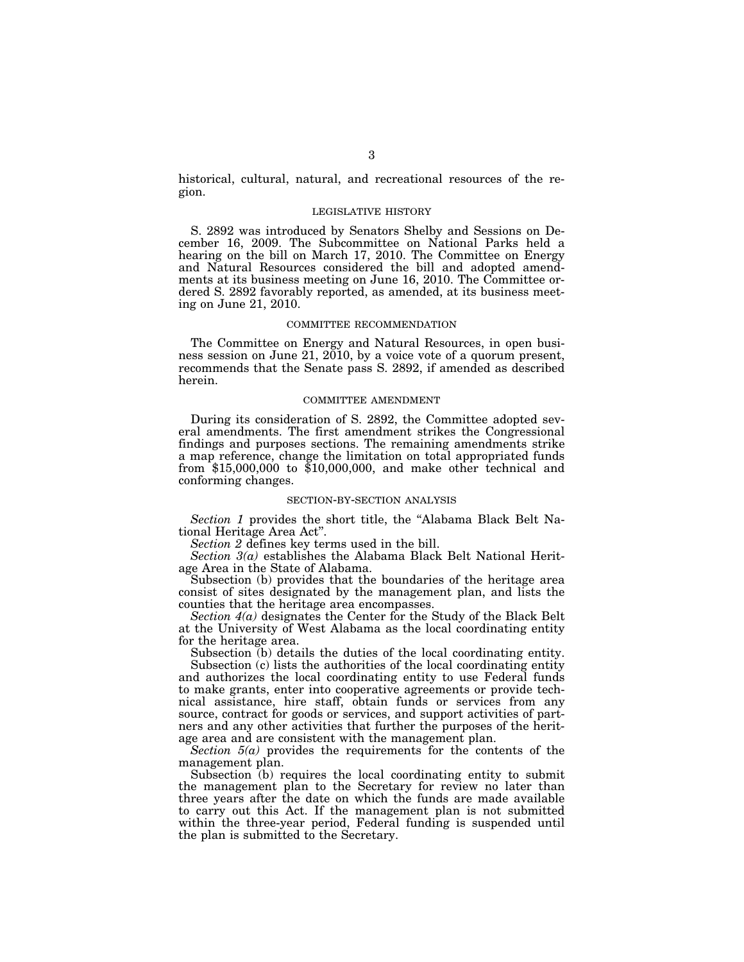historical, cultural, natural, and recreational resources of the region.

#### LEGISLATIVE HISTORY

S. 2892 was introduced by Senators Shelby and Sessions on December 16, 2009. The Subcommittee on National Parks held a hearing on the bill on March 17, 2010. The Committee on Energy and Natural Resources considered the bill and adopted amendments at its business meeting on June 16, 2010. The Committee ordered S. 2892 favorably reported, as amended, at its business meeting on June 21, 2010.

#### COMMITTEE RECOMMENDATION

The Committee on Energy and Natural Resources, in open business session on June 21, 2010, by a voice vote of a quorum present, recommends that the Senate pass S. 2892, if amended as described herein.

#### COMMITTEE AMENDMENT

During its consideration of S. 2892, the Committee adopted several amendments. The first amendment strikes the Congressional findings and purposes sections. The remaining amendments strike a map reference, change the limitation on total appropriated funds from \$15,000,000 to \$10,000,000, and make other technical and conforming changes.

#### SECTION-BY-SECTION ANALYSIS

*Section 1* provides the short title, the ''Alabama Black Belt National Heritage Area Act''.

*Section 2* defines key terms used in the bill.

*Section 3(a)* establishes the Alabama Black Belt National Heritage Area in the State of Alabama.

Subsection (b) provides that the boundaries of the heritage area consist of sites designated by the management plan, and lists the counties that the heritage area encompasses.

*Section 4(a)* designates the Center for the Study of the Black Belt at the University of West Alabama as the local coordinating entity for the heritage area.

Subsection (b) details the duties of the local coordinating entity.

Subsection (c) lists the authorities of the local coordinating entity and authorizes the local coordinating entity to use Federal funds to make grants, enter into cooperative agreements or provide technical assistance, hire staff, obtain funds or services from any source, contract for goods or services, and support activities of partners and any other activities that further the purposes of the heritage area and are consistent with the management plan.

*Section 5(a)* provides the requirements for the contents of the management plan.

Subsection (b) requires the local coordinating entity to submit the management plan to the Secretary for review no later than three years after the date on which the funds are made available to carry out this Act. If the management plan is not submitted within the three-year period, Federal funding is suspended until the plan is submitted to the Secretary.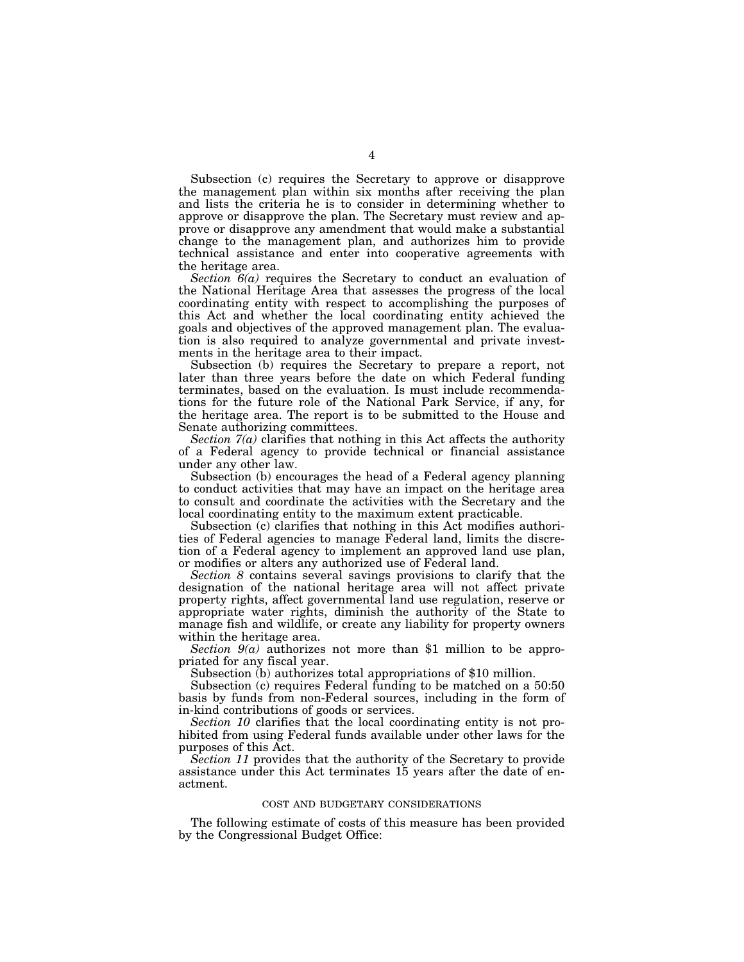Subsection (c) requires the Secretary to approve or disapprove the management plan within six months after receiving the plan and lists the criteria he is to consider in determining whether to approve or disapprove the plan. The Secretary must review and approve or disapprove any amendment that would make a substantial change to the management plan, and authorizes him to provide technical assistance and enter into cooperative agreements with the heritage area.

*Section 6(a)* requires the Secretary to conduct an evaluation of the National Heritage Area that assesses the progress of the local coordinating entity with respect to accomplishing the purposes of this Act and whether the local coordinating entity achieved the goals and objectives of the approved management plan. The evaluation is also required to analyze governmental and private investments in the heritage area to their impact.

Subsection (b) requires the Secretary to prepare a report, not later than three years before the date on which Federal funding terminates, based on the evaluation. Is must include recommendations for the future role of the National Park Service, if any, for the heritage area. The report is to be submitted to the House and Senate authorizing committees.

*Section 7(a)* clarifies that nothing in this Act affects the authority of a Federal agency to provide technical or financial assistance under any other law.

Subsection (b) encourages the head of a Federal agency planning to conduct activities that may have an impact on the heritage area to consult and coordinate the activities with the Secretary and the local coordinating entity to the maximum extent practicable.

Subsection (c) clarifies that nothing in this Act modifies authorities of Federal agencies to manage Federal land, limits the discretion of a Federal agency to implement an approved land use plan, or modifies or alters any authorized use of Federal land.

*Section 8* contains several savings provisions to clarify that the designation of the national heritage area will not affect private property rights, affect governmental land use regulation, reserve or appropriate water rights, diminish the authority of the State to manage fish and wildlife, or create any liability for property owners within the heritage area.

*Section 9(a)* authorizes not more than \$1 million to be appropriated for any fiscal year.

Subsection (b) authorizes total appropriations of \$10 million.

Subsection (c) requires Federal funding to be matched on a 50:50 basis by funds from non-Federal sources, including in the form of in-kind contributions of goods or services.

*Section 10* clarifies that the local coordinating entity is not prohibited from using Federal funds available under other laws for the purposes of this Act.

*Section 11* provides that the authority of the Secretary to provide assistance under this Act terminates 15 years after the date of enactment.

# COST AND BUDGETARY CONSIDERATIONS

The following estimate of costs of this measure has been provided by the Congressional Budget Office: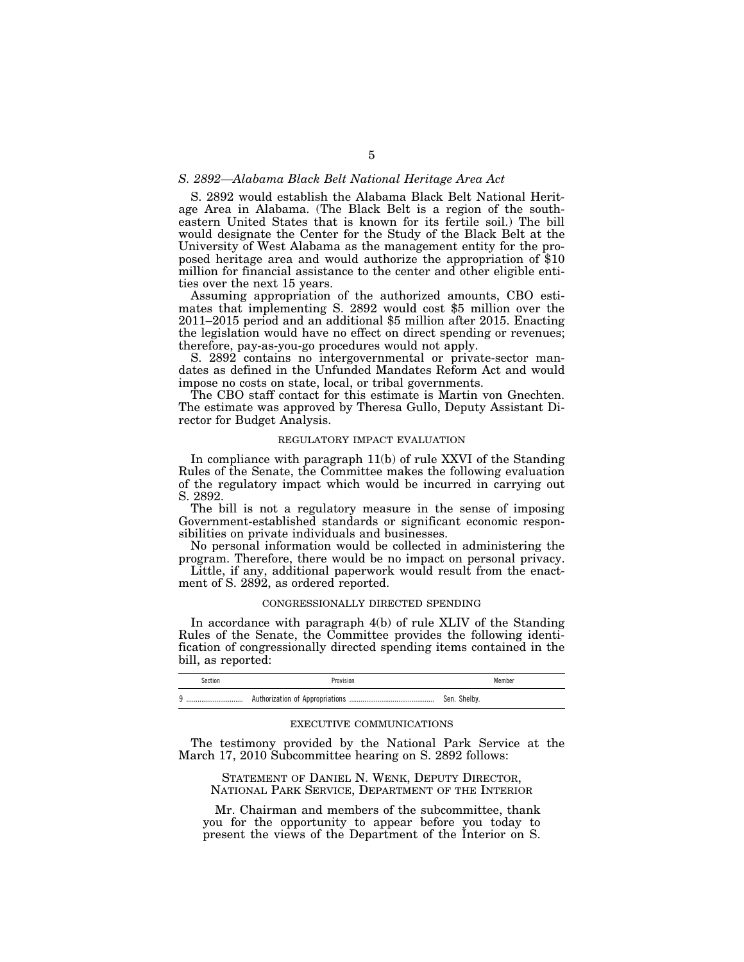# *S. 2892—Alabama Black Belt National Heritage Area Act*

S. 2892 would establish the Alabama Black Belt National Heritage Area in Alabama. (The Black Belt is a region of the southeastern United States that is known for its fertile soil.) The bill would designate the Center for the Study of the Black Belt at the University of West Alabama as the management entity for the proposed heritage area and would authorize the appropriation of \$10 million for financial assistance to the center and other eligible entities over the next 15 years.

Assuming appropriation of the authorized amounts, CBO estimates that implementing S. 2892 would cost \$5 million over the 2011–2015 period and an additional \$5 million after 2015. Enacting the legislation would have no effect on direct spending or revenues; therefore, pay-as-you-go procedures would not apply.

S. 2892 contains no intergovernmental or private-sector mandates as defined in the Unfunded Mandates Reform Act and would impose no costs on state, local, or tribal governments.

The CBO staff contact for this estimate is Martin von Gnechten. The estimate was approved by Theresa Gullo, Deputy Assistant Director for Budget Analysis.

## REGULATORY IMPACT EVALUATION

In compliance with paragraph 11(b) of rule XXVI of the Standing Rules of the Senate, the Committee makes the following evaluation of the regulatory impact which would be incurred in carrying out S. 2892.

The bill is not a regulatory measure in the sense of imposing Government-established standards or significant economic responsibilities on private individuals and businesses.

No personal information would be collected in administering the program. Therefore, there would be no impact on personal privacy.

Little, if any, additional paperwork would result from the enactment of S. 2892, as ordered reported.

#### CONGRESSIONALLY DIRECTED SPENDING

In accordance with paragraph 4(b) of rule XLIV of the Standing Rules of the Senate, the Committee provides the following identification of congressionally directed spending items contained in the bill, as reported:

| Section  | <sup>2</sup> rovision               | Member       |
|----------|-------------------------------------|--------------|
| $\Omega$ | Authorization of Appropriations<br> | Sen. Shelby. |

#### EXECUTIVE COMMUNICATIONS

The testimony provided by the National Park Service at the March 17, 2010 Subcommittee hearing on S. 2892 follows:

STATEMENT OF DANIEL N. WENK, DEPUTY DIRECTOR, NATIONAL PARK SERVICE, DEPARTMENT OF THE INTERIOR

Mr. Chairman and members of the subcommittee, thank you for the opportunity to appear before you today to present the views of the Department of the Interior on S.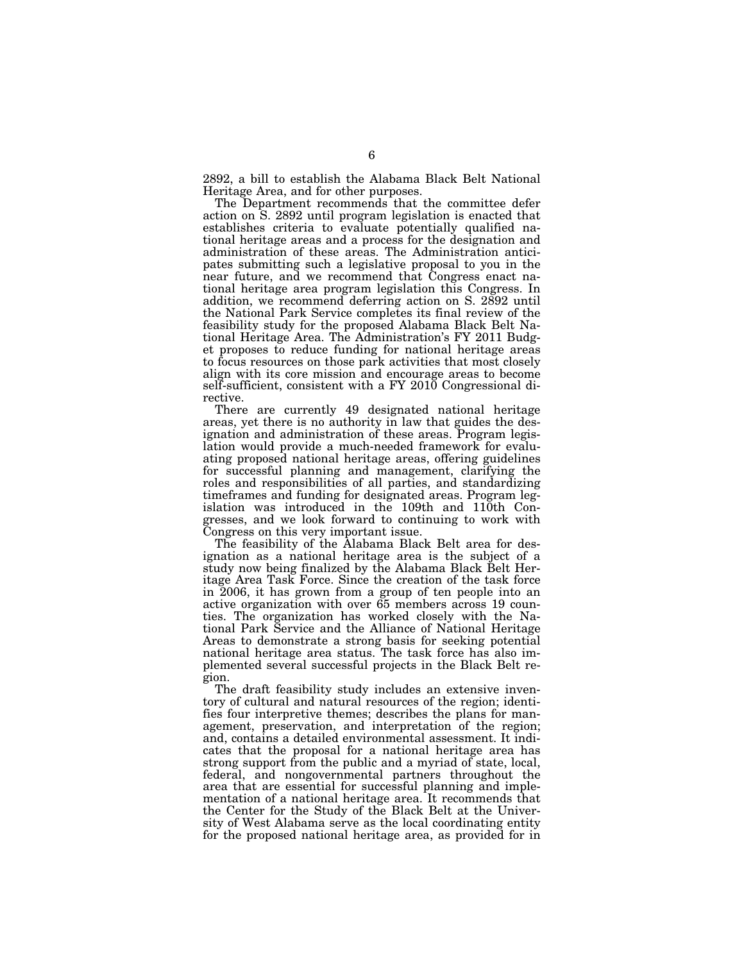2892, a bill to establish the Alabama Black Belt National Heritage Area, and for other purposes.

The Department recommends that the committee defer action on S. 2892 until program legislation is enacted that establishes criteria to evaluate potentially qualified national heritage areas and a process for the designation and administration of these areas. The Administration anticipates submitting such a legislative proposal to you in the near future, and we recommend that Congress enact national heritage area program legislation this Congress. In addition, we recommend deferring action on S. 2892 until the National Park Service completes its final review of the feasibility study for the proposed Alabama Black Belt National Heritage Area. The Administration's FY 2011 Budget proposes to reduce funding for national heritage areas to focus resources on those park activities that most closely align with its core mission and encourage areas to become self-sufficient, consistent with a FY 2010 Congressional directive.

There are currently 49 designated national heritage areas, yet there is no authority in law that guides the designation and administration of these areas. Program legislation would provide a much-needed framework for evaluating proposed national heritage areas, offering guidelines for successful planning and management, clarifying the roles and responsibilities of all parties, and standardizing timeframes and funding for designated areas. Program legislation was introduced in the 109th and 110th Congresses, and we look forward to continuing to work with Congress on this very important issue.

The feasibility of the Alabama Black Belt area for designation as a national heritage area is the subject of a study now being finalized by the Alabama Black Belt Heritage Area Task Force. Since the creation of the task force in 2006, it has grown from a group of ten people into an active organization with over 65 members across 19 counties. The organization has worked closely with the National Park Service and the Alliance of National Heritage Areas to demonstrate a strong basis for seeking potential national heritage area status. The task force has also implemented several successful projects in the Black Belt region.

The draft feasibility study includes an extensive inventory of cultural and natural resources of the region; identifies four interpretive themes; describes the plans for management, preservation, and interpretation of the region; and, contains a detailed environmental assessment. It indicates that the proposal for a national heritage area has strong support from the public and a myriad of state, local, federal, and nongovernmental partners throughout the area that are essential for successful planning and implementation of a national heritage area. It recommends that the Center for the Study of the Black Belt at the University of West Alabama serve as the local coordinating entity for the proposed national heritage area, as provided for in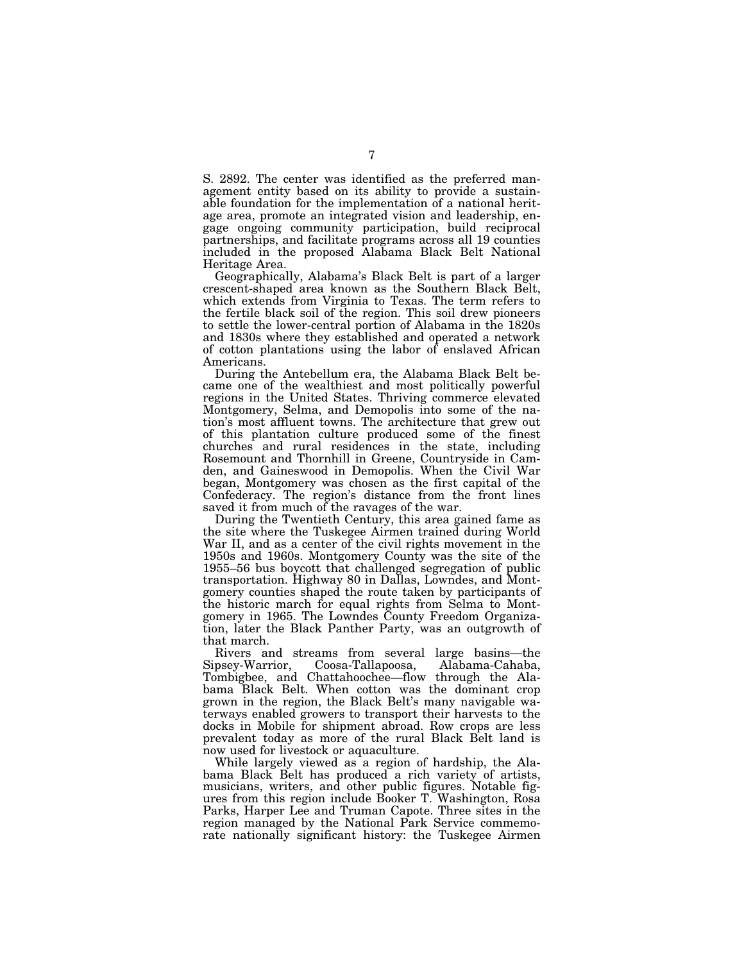S. 2892. The center was identified as the preferred management entity based on its ability to provide a sustainable foundation for the implementation of a national heritage area, promote an integrated vision and leadership, engage ongoing community participation, build reciprocal partnerships, and facilitate programs across all 19 counties included in the proposed Alabama Black Belt National Heritage Area.

Geographically, Alabama's Black Belt is part of a larger crescent-shaped area known as the Southern Black Belt, which extends from Virginia to Texas. The term refers to the fertile black soil of the region. This soil drew pioneers to settle the lower-central portion of Alabama in the 1820s and 1830s where they established and operated a network of cotton plantations using the labor of enslaved African Americans.

During the Antebellum era, the Alabama Black Belt became one of the wealthiest and most politically powerful regions in the United States. Thriving commerce elevated Montgomery, Selma, and Demopolis into some of the nation's most affluent towns. The architecture that grew out of this plantation culture produced some of the finest churches and rural residences in the state, including Rosemount and Thornhill in Greene, Countryside in Camden, and Gaineswood in Demopolis. When the Civil War began, Montgomery was chosen as the first capital of the Confederacy. The region's distance from the front lines saved it from much of the ravages of the war.

During the Twentieth Century, this area gained fame as the site where the Tuskegee Airmen trained during World War II, and as a center of the civil rights movement in the 1950s and 1960s. Montgomery County was the site of the 1955–56 bus boycott that challenged segregation of public transportation. Highway 80 in Dallas, Lowndes, and Montgomery counties shaped the route taken by participants of the historic march for equal rights from Selma to Montgomery in 1965. The Lowndes County Freedom Organization, later the Black Panther Party, was an outgrowth of that march.

Rivers and streams from several large basins—the Sipsey-Warrior, Coosa-Tallapoosa, Alabama-Cahaba, Tombigbee, and Chattahoochee—flow through the Alabama Black Belt. When cotton was the dominant crop grown in the region, the Black Belt's many navigable waterways enabled growers to transport their harvests to the docks in Mobile for shipment abroad. Row crops are less prevalent today as more of the rural Black Belt land is now used for livestock or aquaculture.

While largely viewed as a region of hardship, the Alabama Black Belt has produced a rich variety of artists, musicians, writers, and other public figures. Notable figures from this region include Booker T. Washington, Rosa Parks, Harper Lee and Truman Capote. Three sites in the region managed by the National Park Service commemorate nationally significant history: the Tuskegee Airmen